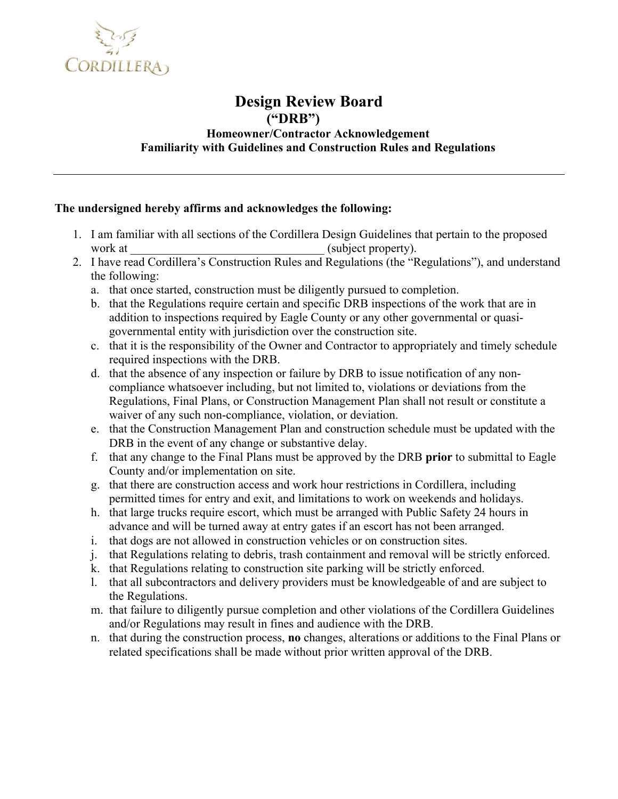

## **Design Review Board ("DRB") Homeowner/Contractor Acknowledgement Familiarity with Guidelines and Construction Rules and Regulations**

## **The undersigned hereby affirms and acknowledges the following:**

- 1. I am familiar with all sections of the Cordillera Design Guidelines that pertain to the proposed work at  $(subject property).$
- 2. I have read Cordillera's Construction Rules and Regulations (the "Regulations"), and understand the following:
	- a. that once started, construction must be diligently pursued to completion.
	- b. that the Regulations require certain and specific DRB inspections of the work that are in addition to inspections required by Eagle County or any other governmental or quasigovernmental entity with jurisdiction over the construction site.
	- c. that it is the responsibility of the Owner and Contractor to appropriately and timely schedule required inspections with the DRB.
	- d. that the absence of any inspection or failure by DRB to issue notification of any noncompliance whatsoever including, but not limited to, violations or deviations from the Regulations, Final Plans, or Construction Management Plan shall not result or constitute a waiver of any such non-compliance, violation, or deviation.
	- e. that the Construction Management Plan and construction schedule must be updated with the DRB in the event of any change or substantive delay.
	- f. that any change to the Final Plans must be approved by the DRB **prior** to submittal to Eagle County and/or implementation on site.
	- g. that there are construction access and work hour restrictions in Cordillera, including permitted times for entry and exit, and limitations to work on weekends and holidays.
	- h. that large trucks require escort, which must be arranged with Public Safety 24 hours in advance and will be turned away at entry gates if an escort has not been arranged.
	- i. that dogs are not allowed in construction vehicles or on construction sites.
	- j. that Regulations relating to debris, trash containment and removal will be strictly enforced.
	- k. that Regulations relating to construction site parking will be strictly enforced.
	- l. that all subcontractors and delivery providers must be knowledgeable of and are subject to the Regulations.
	- m. that failure to diligently pursue completion and other violations of the Cordillera Guidelines and/or Regulations may result in fines and audience with the DRB.
	- n. that during the construction process, **no** changes, alterations or additions to the Final Plans or related specifications shall be made without prior written approval of the DRB.